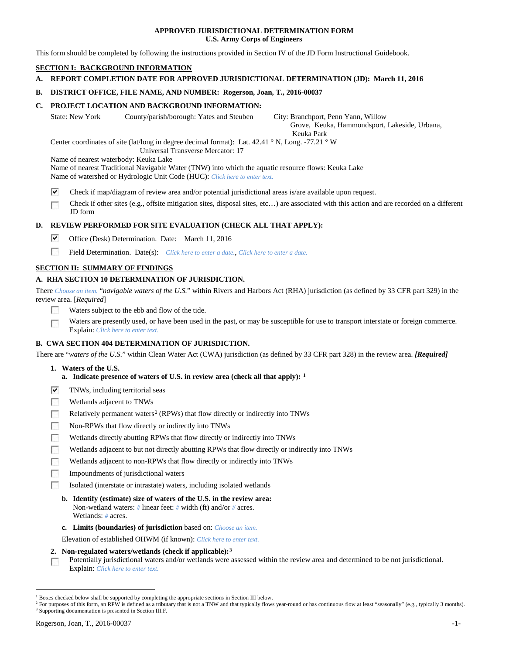### **APPROVED JURISDICTIONAL DETERMINATION FORM U.S. Army Corps of Engineers**

This form should be completed by following the instructions provided in Section IV of the JD Form Instructional Guidebook.

## **SECTION I: BACKGROUND INFORMATION**

**A. REPORT COMPLETION DATE FOR APPROVED JURISDICTIONAL DETERMINATION (JD): March 11, 2016**

## **B. DISTRICT OFFICE, FILE NAME, AND NUMBER: Rogerson, Joan, T., 2016-00037**

## **C. PROJECT LOCATION AND BACKGROUND INFORMATION:**

State: New York County/parish/borough: Yates and Steuben City: Branchport, Penn Yann, Willow

 Grove, Keuka, Hammondsport, Lakeside, Urbana, Keuka Park

Center coordinates of site (lat/long in degree decimal format): Lat. 42.41 ° N, Long. -77.21 ° W Universal Transverse Mercator: 17

Name of nearest waterbody: Keuka Lake

Name of nearest Traditional Navigable Water (TNW) into which the aquatic resource flows: Keuka Lake Name of watershed or Hydrologic Unit Code (HUC): *Click here to enter text.*

- ⊽ Check if map/diagram of review area and/or potential jurisdictional areas is/are available upon request.
- Check if other sites (e.g., offsite mitigation sites, disposal sites, etc…) are associated with this action and are recorded on a different JD form

## **D. REVIEW PERFORMED FOR SITE EVALUATION (CHECK ALL THAT APPLY):**

- ⊽ Office (Desk) Determination. Date: March 11, 2016
- $\overline{a}$ Field Determination. Date(s): *Click here to enter a date.*, *Click here to enter a date.*

## **SECTION II: SUMMARY OF FINDINGS**

## **A. RHA SECTION 10 DETERMINATION OF JURISDICTION.**

There *Choose an item.* "*navigable waters of the U.S.*" within Rivers and Harbors Act (RHA) jurisdiction (as defined by 33 CFR part 329) in the review area. [*Required*]

- Waters subject to the ebb and flow of the tide.
- Waters are presently used, or have been used in the past, or may be susceptible for use to transport interstate or foreign commerce. Explain: *Click here to enter text.*

## **B. CWA SECTION 404 DETERMINATION OF JURISDICTION.**

There are "*waters of the U.S.*" within Clean Water Act (CWA) jurisdiction (as defined by 33 CFR part 328) in the review area. *[Required]*

- **1. Waters of the U.S.**
- **a. Indicate presence of waters of U.S. in review area (check all that apply): [1](#page-0-0)**
- ⊽ TNWs, including territorial seas
- **FRI** Wetlands adjacent to TNWs
- Е Relatively permanent waters<sup>[2](#page-0-1)</sup> (RPWs) that flow directly or indirectly into TNWs
- $\sim$ Non-RPWs that flow directly or indirectly into TNWs
- **FO** Wetlands directly abutting RPWs that flow directly or indirectly into TNWs
- Wetlands adjacent to but not directly abutting RPWs that flow directly or indirectly into TNWs
- **Table** Wetlands adjacent to non-RPWs that flow directly or indirectly into TNWs
- Impoundments of jurisdictional waters **100**
- 50 Isolated (interstate or intrastate) waters, including isolated wetlands
	- **b. Identify (estimate) size of waters of the U.S. in the review area:** Non-wetland waters: *#* linear feet: *#* width (ft) and/or *#* acres. Wetlands: *#* acres.
	- **c. Limits (boundaries) of jurisdiction** based on: *Choose an item.*

Elevation of established OHWM (if known): *Click here to enter text.*

- **2. Non-regulated waters/wetlands (check if applicable):[3](#page-0-2)**
- Potentially jurisdictional waters and/or wetlands were assessed within the review area and determined to be not jurisdictional.  $\overline{a}$ Explain: *Click here to enter text.*

<span id="page-0-0"></span><sup>&</sup>lt;sup>1</sup> Boxes checked below shall be supported by completing the appropriate sections in Section III below.

<span id="page-0-2"></span><span id="page-0-1"></span><sup>&</sup>lt;sup>2</sup> For purposes of this form, an RPW is defined as a tributary that is not a TNW and that typically flows year-round or has continuous flow at least "seasonally" (e.g., typically 3 months). <sup>3</sup> Supporting documentation is presented in Section III.F.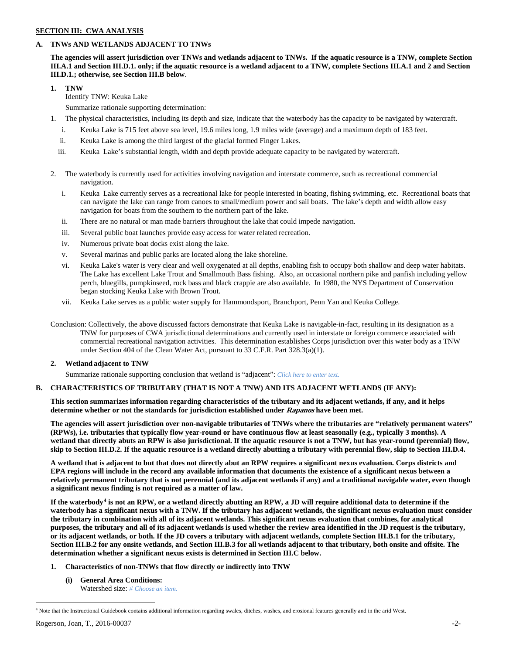## **SECTION III: CWA ANALYSIS**

## **A. TNWs AND WETLANDS ADJACENT TO TNWs**

**The agencies will assert jurisdiction over TNWs and wetlands adjacent to TNWs. If the aquatic resource is a TNW, complete Section III.A.1 and Section III.D.1. only; if the aquatic resource is a wetland adjacent to a TNW, complete Sections III.A.1 and 2 and Section III.D.1.; otherwise, see Section III.B below**.

**1. TNW** 

Identify TNW: Keuka Lake

Summarize rationale supporting determination:

- 1. The physical characteristics, including its depth and size, indicate that the waterbody has the capacity to be navigated by watercraft.
	- i. Keuka Lake is 715 feet above sea level, 19.6 miles long, 1.9 miles wide (average) and a maximum depth of 183 feet.
	- ii. Keuka Lake is among the third largest of the glacial formed Finger Lakes.
	- iii. Keuka Lake's substantial length, width and depth provide adequate capacity to be navigated by watercraft.
- 2. The waterbody is currently used for activities involving navigation and interstate commerce, such as recreational commercial navigation.
	- i. Keuka Lake currently serves as a recreational lake for people interested in boating, fishing swimming, etc. Recreational boats that can navigate the lake can range from canoes to small/medium power and sail boats. The lake's depth and width allow easy navigation for boats from the southern to the northern part of the lake.
	- ii. There are no natural or man made barriers throughout the lake that could impede navigation.
	- iii. Several public boat launches provide easy access for water related recreation.
	- iv. Numerous private boat docks exist along the lake.
	- v. Several marinas and public parks are located along the lake shoreline.
	- vi. Keuka Lake's water is very clear and well oxygenated at all depths, enabling fish to occupy both shallow and deep water habitats. The Lake has excellent Lake Trout and Smallmouth Bass fishing. Also, an occasional northern pike and panfish including yellow perch, bluegills, pumpkinseed, rock bass and black crappie are also available. In 1980, the NYS Department of Conservation began stocking Keuka Lake with Brown Trout.
	- vii. Keuka Lake serves as a public water supply for Hammondsport, Branchport, Penn Yan and Keuka College.
- Conclusion: Collectively, the above discussed factors demonstrate that Keuka Lake is navigable-in-fact, resulting in its designation as a TNW for purposes of CWA jurisdictional determinations and currently used in interstate or foreign commerce associated with commercial recreational navigation activities. This determination establishes Corps jurisdiction over this water body as a TNW under Section 404 of the Clean Water Act, pursuant to 33 C.F.R. Part 328.3(a)(1).

### **2. Wetland adjacent to TNW**

Summarize rationale supporting conclusion that wetland is "adjacent": *Click here to enter text.*

### **B. CHARACTERISTICS OF TRIBUTARY (THAT IS NOT A TNW) AND ITS ADJACENT WETLANDS (IF ANY):**

**This section summarizes information regarding characteristics of the tributary and its adjacent wetlands, if any, and it helps determine whether or not the standards for jurisdiction established under Rapanos have been met.** 

**The agencies will assert jurisdiction over non-navigable tributaries of TNWs where the tributaries are "relatively permanent waters" (RPWs), i.e. tributaries that typically flow year-round or have continuous flow at least seasonally (e.g., typically 3 months). A wetland that directly abuts an RPW is also jurisdictional. If the aquatic resource is not a TNW, but has year-round (perennial) flow, skip to Section III.D.2. If the aquatic resource is a wetland directly abutting a tributary with perennial flow, skip to Section III.D.4.**

**A wetland that is adjacent to but that does not directly abut an RPW requires a significant nexus evaluation. Corps districts and EPA regions will include in the record any available information that documents the existence of a significant nexus between a relatively permanent tributary that is not perennial (and its adjacent wetlands if any) and a traditional navigable water, even though a significant nexus finding is not required as a matter of law.**

**If the waterbody[4](#page-1-0) is not an RPW, or a wetland directly abutting an RPW, a JD will require additional data to determine if the waterbody has a significant nexus with a TNW. If the tributary has adjacent wetlands, the significant nexus evaluation must consider the tributary in combination with all of its adjacent wetlands. This significant nexus evaluation that combines, for analytical purposes, the tributary and all of its adjacent wetlands is used whether the review area identified in the JD request is the tributary, or its adjacent wetlands, or both. If the JD covers a tributary with adjacent wetlands, complete Section III.B.1 for the tributary, Section III.B.2 for any onsite wetlands, and Section III.B.3 for all wetlands adjacent to that tributary, both onsite and offsite. The determination whether a significant nexus exists is determined in Section III.C below.**

- **1. Characteristics of non-TNWs that flow directly or indirectly into TNW**
	- **(i) General Area Conditions:** Watershed size: *# Choose an item.*

<span id="page-1-0"></span><sup>&</sup>lt;sup>4</sup> Note that the Instructional Guidebook contains additional information regarding swales, ditches, washes, and erosional features generally and in the arid West.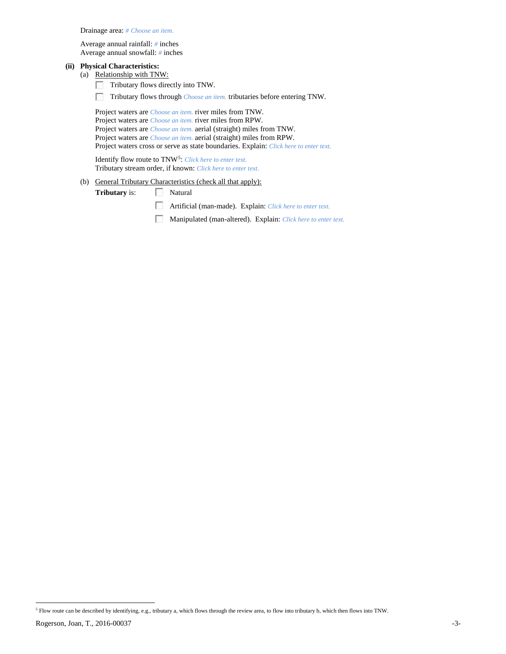Drainage area: *# Choose an item.*

Average annual rainfall: *#* inches Average annual snowfall: *#* inches

# **(ii) Physical Characteristics:**

- (a) Relationship with TNW:
	- Tributary flows directly into TNW.  $\sim$
	- $\mathcal{L}_{\rm{eff}}$ Tributary flows through *Choose an item.* tributaries before entering TNW.

Project waters are *Choose an item.* river miles from TNW. Project waters are *Choose an item.* river miles from RPW. Project waters are *Choose an item.* aerial (straight) miles from TNW. Project waters are *Choose an item.* aerial (straight) miles from RPW. Project waters cross or serve as state boundaries. Explain: *Click here to enter text.*

Identify flow route to TNW[5:](#page-2-0) *Click here to enter text.* Tributary stream order, if known: *Click here to enter text.*

(b) General Tributary Characteristics (check all that apply):

**Tributary** is: Natural

- Artificial (man-made). Explain: *Click here to enter text.*
- Manipulated (man-altered). Explain: *Click here to enter text.*

<span id="page-2-0"></span>Rogerson, Joan, T., 2016-00037 -3- 5 Flow route can be described by identifying, e.g., tributary a, which flows through the review area, to flow into tributary b, which then flows into TNW.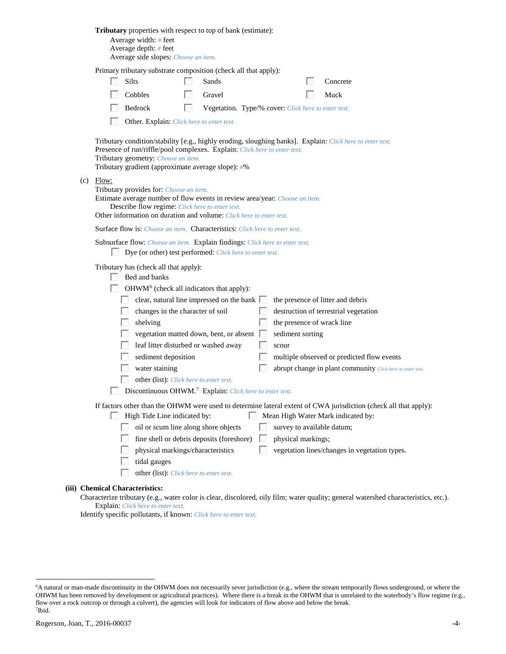|                                                                                                                                                                        | Tributary properties with respect to top of bank (estimate):<br>Average width: # feet<br>Average depth: # feet<br>Average side slopes: Choose an item.                                                                                                                                                                                                                                                                                                                                                                                                                                                                                                                                                           |  |  |
|------------------------------------------------------------------------------------------------------------------------------------------------------------------------|------------------------------------------------------------------------------------------------------------------------------------------------------------------------------------------------------------------------------------------------------------------------------------------------------------------------------------------------------------------------------------------------------------------------------------------------------------------------------------------------------------------------------------------------------------------------------------------------------------------------------------------------------------------------------------------------------------------|--|--|
|                                                                                                                                                                        | Primary tributary substrate composition (check all that apply):                                                                                                                                                                                                                                                                                                                                                                                                                                                                                                                                                                                                                                                  |  |  |
|                                                                                                                                                                        | Silts<br>Sands<br>Concrete                                                                                                                                                                                                                                                                                                                                                                                                                                                                                                                                                                                                                                                                                       |  |  |
|                                                                                                                                                                        | Cobbles<br>Muck<br>Gravel                                                                                                                                                                                                                                                                                                                                                                                                                                                                                                                                                                                                                                                                                        |  |  |
|                                                                                                                                                                        | Bedrock<br><b>B</b><br>Vegetation. Type/% cover: Click here to enter text.                                                                                                                                                                                                                                                                                                                                                                                                                                                                                                                                                                                                                                       |  |  |
|                                                                                                                                                                        | Other. Explain: Click here to enter text.                                                                                                                                                                                                                                                                                                                                                                                                                                                                                                                                                                                                                                                                        |  |  |
|                                                                                                                                                                        | Tributary condition/stability [e.g., highly eroding, sloughing banks]. Explain: Click here to enter text.<br>Presence of run/riffle/pool complexes. Explain: Click here to enter text.<br>Tributary geometry: Choose an item.<br>Tributary gradient (approximate average slope): #%                                                                                                                                                                                                                                                                                                                                                                                                                              |  |  |
| (c)                                                                                                                                                                    | Flow:<br>Tributary provides for: Choose an item.<br>Estimate average number of flow events in review area/year: Choose an item.<br>Describe flow regime: Click here to enter text.<br>Other information on duration and volume: Click here to enter text.                                                                                                                                                                                                                                                                                                                                                                                                                                                        |  |  |
|                                                                                                                                                                        | Surface flow is: Choose an item. Characteristics: Click here to enter text.                                                                                                                                                                                                                                                                                                                                                                                                                                                                                                                                                                                                                                      |  |  |
|                                                                                                                                                                        | Subsurface flow: Choose an item. Explain findings: Click here to enter text.<br>Dye (or other) test performed: Click here to enter text.                                                                                                                                                                                                                                                                                                                                                                                                                                                                                                                                                                         |  |  |
|                                                                                                                                                                        | Tributary has (check all that apply):<br>Bed and banks<br>OHWM <sup>6</sup> (check all indicators that apply):<br>clear, natural line impressed on the bank<br>the presence of litter and debris<br>changes in the character of soil<br>destruction of terrestrial vegetation<br>the presence of wrack line<br>shelving<br>vegetation matted down, bent, or absent [<br>sediment sorting<br>leaf litter disturbed or washed away<br>scour<br>sediment deposition<br>multiple observed or predicted flow events<br>water staining<br>abrupt change in plant community Click here to enter text.<br>other (list): Click here to enter text.<br>Discontinuous OHWM. <sup>7</sup> Explain: Click here to enter text. |  |  |
|                                                                                                                                                                        | If factors other than the OHWM were used to determine lateral extent of CWA jurisdiction (check all that apply):                                                                                                                                                                                                                                                                                                                                                                                                                                                                                                                                                                                                 |  |  |
|                                                                                                                                                                        | High Tide Line indicated by:<br>Mean High Water Mark indicated by:                                                                                                                                                                                                                                                                                                                                                                                                                                                                                                                                                                                                                                               |  |  |
|                                                                                                                                                                        | oil or scum line along shore objects<br>survey to available datum;                                                                                                                                                                                                                                                                                                                                                                                                                                                                                                                                                                                                                                               |  |  |
|                                                                                                                                                                        | fine shell or debris deposits (foreshore)<br>physical markings;<br>vegetation lines/changes in vegetation types.<br>physical markings/characteristics                                                                                                                                                                                                                                                                                                                                                                                                                                                                                                                                                            |  |  |
|                                                                                                                                                                        | tidal gauges                                                                                                                                                                                                                                                                                                                                                                                                                                                                                                                                                                                                                                                                                                     |  |  |
|                                                                                                                                                                        | other (list): Click here to enter text.                                                                                                                                                                                                                                                                                                                                                                                                                                                                                                                                                                                                                                                                          |  |  |
|                                                                                                                                                                        |                                                                                                                                                                                                                                                                                                                                                                                                                                                                                                                                                                                                                                                                                                                  |  |  |
| (iii) Chemical Characteristics:<br>Characterize tributary (e.g., water color is clear, discolored, oily film; water quality; general watershed characteristics, etc.). |                                                                                                                                                                                                                                                                                                                                                                                                                                                                                                                                                                                                                                                                                                                  |  |  |
| Explain: Click here to enter text.                                                                                                                                     |                                                                                                                                                                                                                                                                                                                                                                                                                                                                                                                                                                                                                                                                                                                  |  |  |

Identify specific pollutants, if known: *Click here to enter text.*

<span id="page-3-1"></span><span id="page-3-0"></span> <sup>6</sup> <sup>6</sup>A natural or man-made discontinuity in the OHWM does not necessarily sever jurisdiction (e.g., where the stream temporarily flows underground, or where the OHWM has been removed by development or agricultural practices). Where there is a break in the OHWM that is unrelated to the waterbody's flow regime (e.g., flow over a rock outcrop or through a culvert), the agencies will look for indicators of flow above and below the break. 7 Ibid.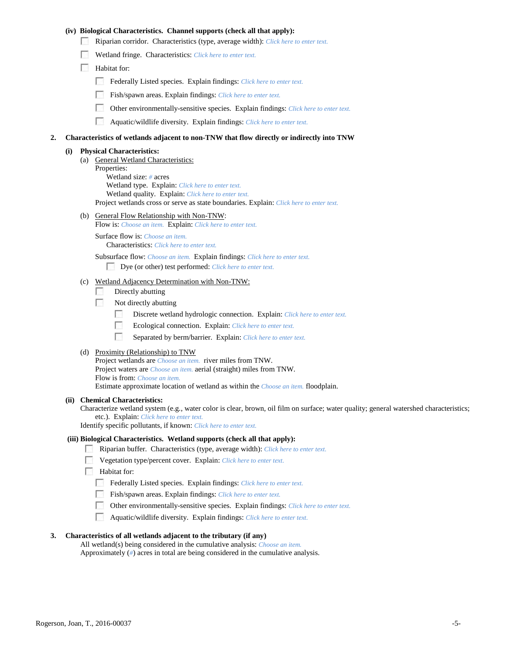### **(iv) Biological Characteristics. Channel supports (check all that apply):**

- Riparian corridor. Characteristics (type, average width): *Click here to enter text.*
- Wetland fringe. Characteristics: *Click here to enter text.*
- **Habitat for:** 
	- Federally Listed species. Explain findings: *Click here to enter text.*
	- Fish/spawn areas. Explain findings: *Click here to enter text.*
	- $\mathcal{L}_{\rm{eff}}$ Other environmentally-sensitive species. Explain findings: *Click here to enter text.*
	- $\mathcal{L}_{\mathcal{S}}$ Aquatic/wildlife diversity. Explain findings: *Click here to enter text.*

### **2. Characteristics of wetlands adjacent to non-TNW that flow directly or indirectly into TNW**

#### **(i) Physical Characteristics:**

- (a) General Wetland Characteristics: Properties: Wetland size: *#* acres Wetland type. Explain: *Click here to enter text.* Wetland quality. Explain: *Click here to enter text.* Project wetlands cross or serve as state boundaries. Explain: *Click here to enter text.*
- (b) General Flow Relationship with Non-TNW:
	- Flow is: *Choose an item.* Explain: *Click here to enter text.*

Surface flow is: *Choose an item.* Characteristics: *Click here to enter text.*

Subsurface flow: *Choose an item.* Explain findings: *Click here to enter text.*

Dye (or other) test performed: *Click here to enter text.*

## (c) Wetland Adjacency Determination with Non-TNW:

- $\sim$ Directly abutting
- Not directly abutting **1999** 
	- $\sim$ Discrete wetland hydrologic connection. Explain: *Click here to enter text.*
	- $\overline{a}$ Ecological connection. Explain: *Click here to enter text.*
	- $\mathcal{L}_{\rm{eff}}$ Separated by berm/barrier. Explain: *Click here to enter text.*
- (d) Proximity (Relationship) to TNW

Project wetlands are *Choose an item.* river miles from TNW. Project waters are *Choose an item.* aerial (straight) miles from TNW. Flow is from: *Choose an item.* Estimate approximate location of wetland as within the *Choose an item.* floodplain.

#### **(ii) Chemical Characteristics:**

Characterize wetland system (e.g., water color is clear, brown, oil film on surface; water quality; general watershed characteristics; etc.). Explain: *Click here to enter text.*

Identify specific pollutants, if known: *Click here to enter text.*

### **(iii) Biological Characteristics. Wetland supports (check all that apply):**

- Riparian buffer. Characteristics (type, average width): *Click here to enter text.*
- Vegetation type/percent cover. Explain: *Click here to enter text.*
- **Habitat for:** 
	- Federally Listed species. Explain findings: *Click here to enter text.*
	- Fish/spawn areas. Explain findings: *Click here to enter text.*
	- Other environmentally-sensitive species. Explain findings: *Click here to enter text.*
	- Aquatic/wildlife diversity. Explain findings: *Click here to enter text.*

### **3. Characteristics of all wetlands adjacent to the tributary (if any)**

All wetland(s) being considered in the cumulative analysis: *Choose an item.* Approximately (*#*) acres in total are being considered in the cumulative analysis.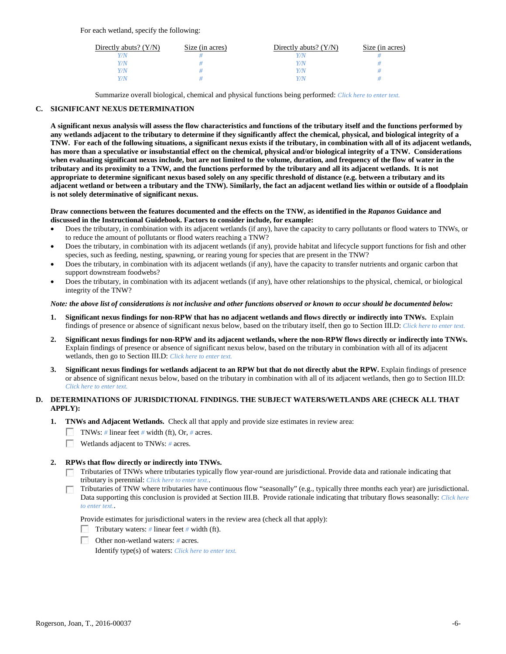For each wetland, specify the following:

| Directly abuts? $(Y/N)$ | Size (in acres) | Directly abuts? $(Y/N)$ | Size (in acres) |
|-------------------------|-----------------|-------------------------|-----------------|
|                         |                 |                         |                 |
| V/N                     |                 | Y/N                     |                 |
| V/N                     |                 | Y/N                     |                 |
|                         |                 | Y/N                     |                 |

Summarize overall biological, chemical and physical functions being performed: *Click here to enter text.*

## **C. SIGNIFICANT NEXUS DETERMINATION**

**A significant nexus analysis will assess the flow characteristics and functions of the tributary itself and the functions performed by any wetlands adjacent to the tributary to determine if they significantly affect the chemical, physical, and biological integrity of a TNW. For each of the following situations, a significant nexus exists if the tributary, in combination with all of its adjacent wetlands, has more than a speculative or insubstantial effect on the chemical, physical and/or biological integrity of a TNW. Considerations when evaluating significant nexus include, but are not limited to the volume, duration, and frequency of the flow of water in the tributary and its proximity to a TNW, and the functions performed by the tributary and all its adjacent wetlands. It is not appropriate to determine significant nexus based solely on any specific threshold of distance (e.g. between a tributary and its adjacent wetland or between a tributary and the TNW). Similarly, the fact an adjacent wetland lies within or outside of a floodplain is not solely determinative of significant nexus.** 

### **Draw connections between the features documented and the effects on the TNW, as identified in the** *Rapanos* **Guidance and discussed in the Instructional Guidebook. Factors to consider include, for example:**

- Does the tributary, in combination with its adjacent wetlands (if any), have the capacity to carry pollutants or flood waters to TNWs, or to reduce the amount of pollutants or flood waters reaching a TNW?
- Does the tributary, in combination with its adjacent wetlands (if any), provide habitat and lifecycle support functions for fish and other species, such as feeding, nesting, spawning, or rearing young for species that are present in the TNW?
- Does the tributary, in combination with its adjacent wetlands (if any), have the capacity to transfer nutrients and organic carbon that support downstream foodwebs?
- Does the tributary, in combination with its adjacent wetlands (if any), have other relationships to the physical, chemical, or biological integrity of the TNW?

### *Note: the above list of considerations is not inclusive and other functions observed or known to occur should be documented below:*

- **1. Significant nexus findings for non-RPW that has no adjacent wetlands and flows directly or indirectly into TNWs.** Explain findings of presence or absence of significant nexus below, based on the tributary itself, then go to Section III.D: *Click here to enter text.*
- **2. Significant nexus findings for non-RPW and its adjacent wetlands, where the non-RPW flows directly or indirectly into TNWs.**  Explain findings of presence or absence of significant nexus below, based on the tributary in combination with all of its adjacent wetlands, then go to Section III.D: *Click here to enter text.*
- **3. Significant nexus findings for wetlands adjacent to an RPW but that do not directly abut the RPW.** Explain findings of presence or absence of significant nexus below, based on the tributary in combination with all of its adjacent wetlands, then go to Section III.D: *Click here to enter text.*

## **D. DETERMINATIONS OF JURISDICTIONAL FINDINGS. THE SUBJECT WATERS/WETLANDS ARE (CHECK ALL THAT APPLY):**

- **1. TNWs and Adjacent Wetlands.** Check all that apply and provide size estimates in review area:
	- TNWs: *#* linear feet *#* width (ft), Or, *#* acres.
	- Wetlands adjacent to TNWs: *#* acres.

## **2. RPWs that flow directly or indirectly into TNWs.**

- $\Box$  Tributaries of TNWs where tributaries typically flow year-round are jurisdictional. Provide data and rationale indicating that tributary is perennial: *Click here to enter text.*.
- Tributaries of TNW where tributaries have continuous flow "seasonally" (e.g., typically three months each year) are jurisdictional. Data supporting this conclusion is provided at Section III.B. Provide rationale indicating that tributary flows seasonally: *Click here to enter text.*.

Provide estimates for jurisdictional waters in the review area (check all that apply):

- Tributary waters: *#* linear feet *#* width (ft).
- Other non-wetland waters: *#* acres.

Identify type(s) of waters: *Click here to enter text.*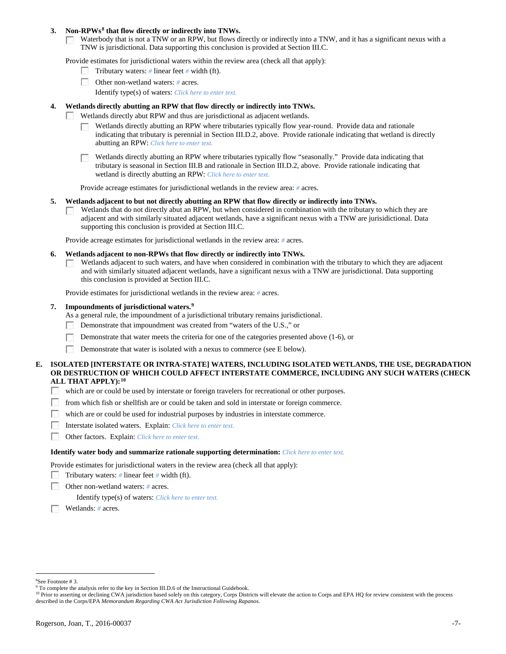### **3. Non-RPWs[8](#page-6-0) that flow directly or indirectly into TNWs.**

Waterbody that is not a TNW or an RPW, but flows directly or indirectly into a TNW, and it has a significant nexus with a **COLLEGE** TNW is jurisdictional. Data supporting this conclusion is provided at Section III.C.

Provide estimates for jurisdictional waters within the review area (check all that apply):

- Tributary waters: *#* linear feet *#* width (ft).
- Other non-wetland waters: *#* acres.
	- Identify type(s) of waters: *Click here to enter text.*

### **4. Wetlands directly abutting an RPW that flow directly or indirectly into TNWs.**

- **Barbara** Wetlands directly abut RPW and thus are jurisdictional as adjacent wetlands.
	- Wetlands directly abutting an RPW where tributaries typically flow year-round. Provide data and rationale indicating that tributary is perennial in Section III.D.2, above. Provide rationale indicating that wetland is directly abutting an RPW: *Click here to enter text.*

Wetlands directly abutting an RPW where tributaries typically flow "seasonally." Provide data indicating that tributary is seasonal in Section III.B and rationale in Section III.D.2, above. Provide rationale indicating that wetland is directly abutting an RPW: *Click here to enter text.*

Provide acreage estimates for jurisdictional wetlands in the review area: *#* acres.

### **5. Wetlands adjacent to but not directly abutting an RPW that flow directly or indirectly into TNWs.**

Wetlands that do not directly abut an RPW, but when considered in combination with the tributary to which they are P. adjacent and with similarly situated adjacent wetlands, have a significant nexus with a TNW are jurisidictional. Data supporting this conclusion is provided at Section III.C.

Provide acreage estimates for jurisdictional wetlands in the review area: *#* acres.

- **6. Wetlands adjacent to non-RPWs that flow directly or indirectly into TNWs.** 
	- Wetlands adjacent to such waters, and have when considered in combination with the tributary to which they are adjacent  $\sim$ and with similarly situated adjacent wetlands, have a significant nexus with a TNW are jurisdictional. Data supporting this conclusion is provided at Section III.C.

Provide estimates for jurisdictional wetlands in the review area: *#* acres.

## **7. Impoundments of jurisdictional waters. [9](#page-6-1)**

As a general rule, the impoundment of a jurisdictional tributary remains jurisdictional.

- Demonstrate that impoundment was created from "waters of the U.S.," or
- Demonstrate that water meets the criteria for one of the categories presented above (1-6), or
- Г Demonstrate that water is isolated with a nexus to commerce (see E below).

### **E. ISOLATED [INTERSTATE OR INTRA-STATE] WATERS, INCLUDING ISOLATED WETLANDS, THE USE, DEGRADATION OR DESTRUCTION OF WHICH COULD AFFECT INTERSTATE COMMERCE, INCLUDING ANY SUCH WATERS (CHECK ALL THAT APPLY):[10](#page-6-2)**

- which are or could be used by interstate or foreign travelers for recreational or other purposes.
- **1999** from which fish or shellfish are or could be taken and sold in interstate or foreign commerce.
- $\mathcal{N}_{\rm eff}$ which are or could be used for industrial purposes by industries in interstate commerce.
- **1999** Interstate isolated waters.Explain: *Click here to enter text.*
- $\sim$ Other factors.Explain: *Click here to enter text.*

### **Identify water body and summarize rationale supporting determination:** *Click here to enter text.*

Provide estimates for jurisdictional waters in the review area (check all that apply):

- Tributary waters: # linear feet # width (ft).
- Е Other non-wetland waters: *#* acres.

Identify type(s) of waters: *Click here to enter text.*

Wetlands: *#* acres.

 $\frac{1}{8}$ See Footnote # 3.

<span id="page-6-1"></span><span id="page-6-0"></span><sup>&</sup>lt;sup>9</sup> To complete the analysis refer to the key in Section III.D.6 of the Instructional Guidebook.

<span id="page-6-2"></span><sup>&</sup>lt;sup>10</sup> Prior to asserting or declining CWA jurisdiction based solely on this category, Corps Districts will elevate the action to Corps and EPA HQ for review consistent with the process described in the Corps/EPA *Memorandum Regarding CWA Act Jurisdiction Following Rapanos.*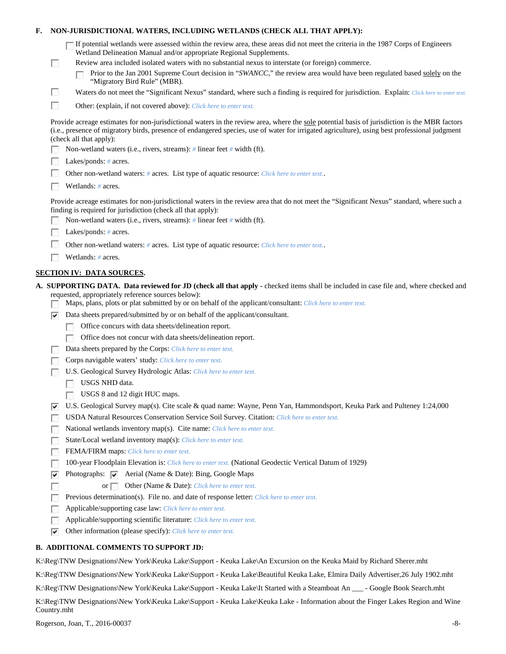| F.                 | NON-JURISDICTIONAL WATERS, INCLUDING WETLANDS (CHECK ALL THAT APPLY):                                                                                                                                                                                                                                                                                                                                                                            |
|--------------------|--------------------------------------------------------------------------------------------------------------------------------------------------------------------------------------------------------------------------------------------------------------------------------------------------------------------------------------------------------------------------------------------------------------------------------------------------|
| <b>FRI</b>         | $\Box$ If potential wetlands were assessed within the review area, these areas did not meet the criteria in the 1987 Corps of Engineers<br>Wetland Delineation Manual and/or appropriate Regional Supplements.<br>Review area included isolated waters with no substantial nexus to interstate (or foreign) commerce.<br>Prior to the Jan 2001 Supreme Court decision in "SWANCC," the review area would have been regulated based solely on the |
|                    | "Migratory Bird Rule" (MBR).                                                                                                                                                                                                                                                                                                                                                                                                                     |
| $\mathbf{r}$       | Waters do not meet the "Significant Nexus" standard, where such a finding is required for jurisdiction. Explain: Click here to enter text.                                                                                                                                                                                                                                                                                                       |
| г                  | Other: (explain, if not covered above): Click here to enter text.                                                                                                                                                                                                                                                                                                                                                                                |
|                    | Provide acreage estimates for non-jurisdictional waters in the review area, where the sole potential basis of jurisdiction is the MBR factors<br>(i.e., presence of migratory birds, presence of endangered species, use of water for irrigated agriculture), using best professional judgment<br>(check all that apply):                                                                                                                        |
|                    | Non-wetland waters (i.e., rivers, streams): $\#$ linear feet $\#$ width (ft).                                                                                                                                                                                                                                                                                                                                                                    |
|                    | Lakes/ponds: $# \, \text{acres.}$                                                                                                                                                                                                                                                                                                                                                                                                                |
|                    | Other non-wetland waters: # acres. List type of aquatic resource: Click here to enter text                                                                                                                                                                                                                                                                                                                                                       |
|                    | Wetlands: $#$ acres.                                                                                                                                                                                                                                                                                                                                                                                                                             |
|                    | Provide acreage estimates for non-jurisdictional waters in the review area that do not meet the "Significant Nexus" standard, where such a<br>finding is required for jurisdiction (check all that apply):                                                                                                                                                                                                                                       |
|                    | Non-wetland waters (i.e., rivers, streams): $\#$ linear feet $\#$ width (ft).                                                                                                                                                                                                                                                                                                                                                                    |
|                    | Lakes/ponds: $# \, \text{acres.}$                                                                                                                                                                                                                                                                                                                                                                                                                |
|                    | Other non-wetland waters: # acres. List type of aquatic resource: Click here to enter text                                                                                                                                                                                                                                                                                                                                                       |
|                    | Wetlands: # acres.                                                                                                                                                                                                                                                                                                                                                                                                                               |
|                    | <b>SECTION IV: DATA SOURCES.</b>                                                                                                                                                                                                                                                                                                                                                                                                                 |
|                    | A. SUPPORTING DATA. Data reviewed for JD (check all that apply - checked items shall be included in case file and, where checked and<br>requested, appropriately reference sources below):<br>Maps, plans, plots or plat submitted by or on behalf of the applicant/consultant: Click here to enter text.                                                                                                                                        |
| V                  | Data sheets prepared/submitted by or on behalf of the applicant/consultant.                                                                                                                                                                                                                                                                                                                                                                      |
|                    | Office concurs with data sheets/delineation report.                                                                                                                                                                                                                                                                                                                                                                                              |
|                    | Office does not concur with data sheets/delineation report.<br><b>Barbara</b>                                                                                                                                                                                                                                                                                                                                                                    |
|                    | Data sheets prepared by the Corps: Click here to enter text.                                                                                                                                                                                                                                                                                                                                                                                     |
|                    | Corps navigable waters' study: Click here to enter text.                                                                                                                                                                                                                                                                                                                                                                                         |
|                    | U.S. Geological Survey Hydrologic Atlas: Click here to enter text.                                                                                                                                                                                                                                                                                                                                                                               |
|                    | USGS NHD data.                                                                                                                                                                                                                                                                                                                                                                                                                                   |
|                    | USGS 8 and 12 digit HUC maps.                                                                                                                                                                                                                                                                                                                                                                                                                    |
| ∣V                 | U.S. Geological Survey map(s). Cite scale & quad name: Wayne, Penn Yan, Hammondsport, Keuka Park and Pulteney 1:24,000<br>USDA Natural Resources Conservation Service Soil Survey. Citation: Click here to enter text.                                                                                                                                                                                                                           |
|                    | National wetlands inventory map(s). Cite name: Click here to enter text.                                                                                                                                                                                                                                                                                                                                                                         |
| $\sim$             | State/Local wetland inventory map(s): Click here to enter text.                                                                                                                                                                                                                                                                                                                                                                                  |
|                    | FEMA/FIRM maps: Click here to enter text.                                                                                                                                                                                                                                                                                                                                                                                                        |
|                    | 100-year Floodplain Elevation is: Click here to enter text. (National Geodectic Vertical Datum of 1929)                                                                                                                                                                                                                                                                                                                                          |
| ⊽                  | Photographs: $\overline{\smile}$ Aerial (Name & Date): Bing, Google Maps                                                                                                                                                                                                                                                                                                                                                                         |
| г                  | Other (Name & Date): Click here to enter text.<br>or $\Box$                                                                                                                                                                                                                                                                                                                                                                                      |
|                    | Previous determination(s). File no. and date of response letter: Click here to enter text.                                                                                                                                                                                                                                                                                                                                                       |
| l.                 | Applicable/supporting case law: Click here to enter text.                                                                                                                                                                                                                                                                                                                                                                                        |
| <b>Participate</b> | Applicable/supporting scientific literature: Click here to enter text.                                                                                                                                                                                                                                                                                                                                                                           |
| ▽                  | Other information (please specify): Click here to enter text.                                                                                                                                                                                                                                                                                                                                                                                    |
|                    |                                                                                                                                                                                                                                                                                                                                                                                                                                                  |
|                    | <b>B. ADDITIONAL COMMENTS TO SUPPORT JD:</b>                                                                                                                                                                                                                                                                                                                                                                                                     |
|                    | K:\Reg\TNW Designations\New York\Keuka Lake\Support - Keuka Lake\An Excursion on the Keuka Maid by Richard Sherer.mht                                                                                                                                                                                                                                                                                                                            |
|                    | K:\Reg\TNW Designations\New York\Keuka Lake\Support - Keuka Lake\Beautiful Keuka Lake, Elmira Daily Advertiser,26 July 1902.mht                                                                                                                                                                                                                                                                                                                  |

K:\Reg\TNW Designations\New York\Keuka Lake\Support - Keuka Lake\It Started with a Steamboat An \_\_\_ - Google Book Search.mht

K:\Reg\TNW Designations\New York\Keuka Lake\Support - Keuka Lake\Keuka Lake - Information about the Finger Lakes Region and Wine Country.mht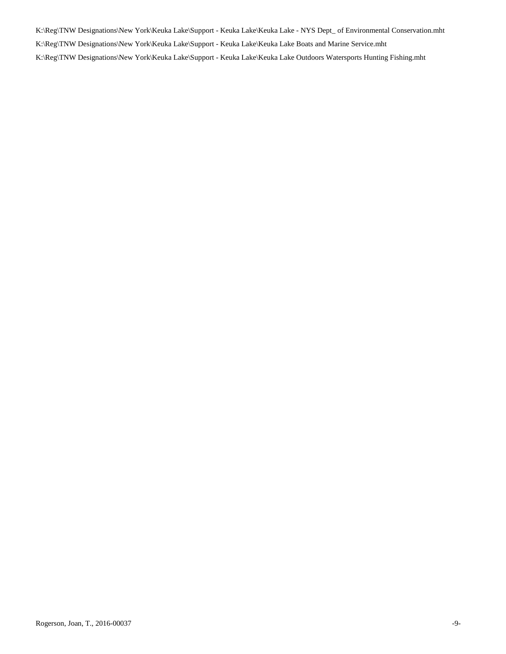K:\Reg\TNW Designations\New York\Keuka Lake\Support - Keuka Lake\Keuka Lake - NYS Dept\_ of Environmental Conservation.mht K:\Reg\TNW Designations\New York\Keuka Lake\Support - Keuka Lake\Keuka Lake Boats and Marine Service.mht K:\Reg\TNW Designations\New York\Keuka Lake\Support - Keuka Lake\Keuka Lake Outdoors Watersports Hunting Fishing.mht